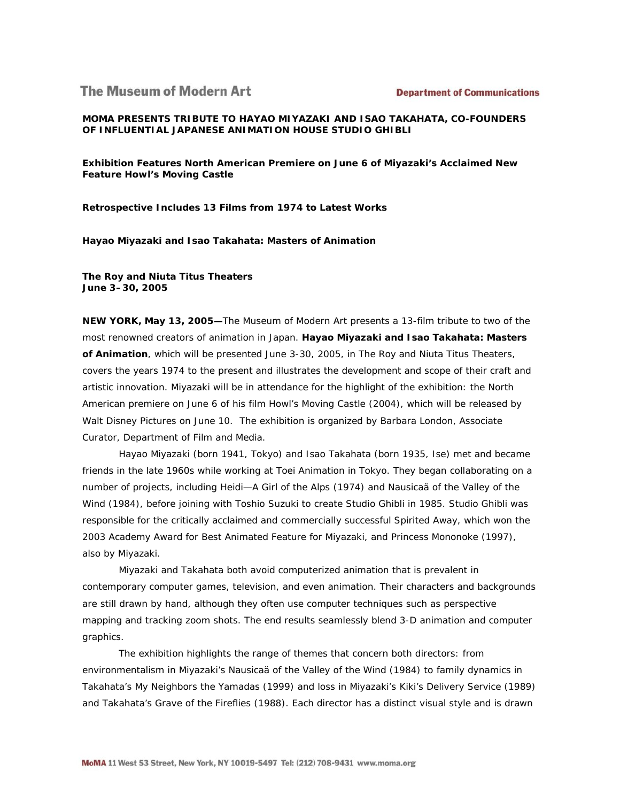# **The Museum of Modern Art**

**MOMA PRESENTS TRIBUTE TO HAYAO MIYAZAKI AND ISAO TAKAHATA, CO-FOUNDERS OF INFLUENTIAL JAPANESE ANIMATION HOUSE STUDIO GHIBLI**

**Exhibition Features North American Premiere on June 6 of Miyazaki's Acclaimed New Feature** *Howl's Moving Castle* 

**Retrospective Includes 13 Films from 1974 to Latest Works**

*Hayao Miyazaki and Isao Takahata: Masters of Animation*

**The Roy and Niuta Titus Theaters June 3–30, 2005**

**NEW YORK, May 13, 2005—**The Museum of Modern Art presents a 13-film tribute to two of the most renowned creators of animation in Japan. *Hayao Miyazaki and Isao Takahata: Masters of Animation*, which will be presented June 3-30, 2005, in The Roy and Niuta Titus Theaters, covers the years 1974 to the present and illustrates the development and scope of their craft and artistic innovation. Miyazaki will be in attendance for the highlight of the exhibition: the North American premiere on June 6 of his film *Howl's Moving Castle* (2004), which will be released by Walt Disney Pictures on June 10. The exhibition is organized by Barbara London, Associate Curator, Department of Film and Media.

Hayao Miyazaki (born 1941, Tokyo) and Isao Takahata (born 1935, Ise) met and became friends in the late 1960s while working at Toei Animation in Tokyo. They began collaborating on a number of projects, including *Heidi—A Girl of the Alps* (1974) and *Nausicaä of the Valley of the Wind* (1984), before joining with Toshio Suzuki to create Studio Ghibli in 1985. Studio Ghibli was responsible for the critically acclaimed and commercially successful *Spirited Away*, which won the 2003 Academy Award for Best Animated Feature for Miyazaki, and *Princess Mononoke* (1997), also by Miyazaki.

Miyazaki and Takahata both avoid computerized animation that is prevalent in contemporary computer games, television, and even animation. Their characters and backgrounds are still drawn by hand, although they often use computer techniques such as perspective mapping and tracking zoom shots. The end results seamlessly blend 3-D animation and computer graphics.

The exhibition highlights the range of themes that concern both directors: from environmentalism in Miyazaki's *Nausicaä of the Valley of the Wind* (1984) to family dynamics in Takahata's *My Neighbors the Yamadas* (1999) and loss in Miyazaki's *Kiki's Delivery Service* (1989) and Takahata's *Grave of the Fireflies* (1988). Each director has a distinct visual style and is drawn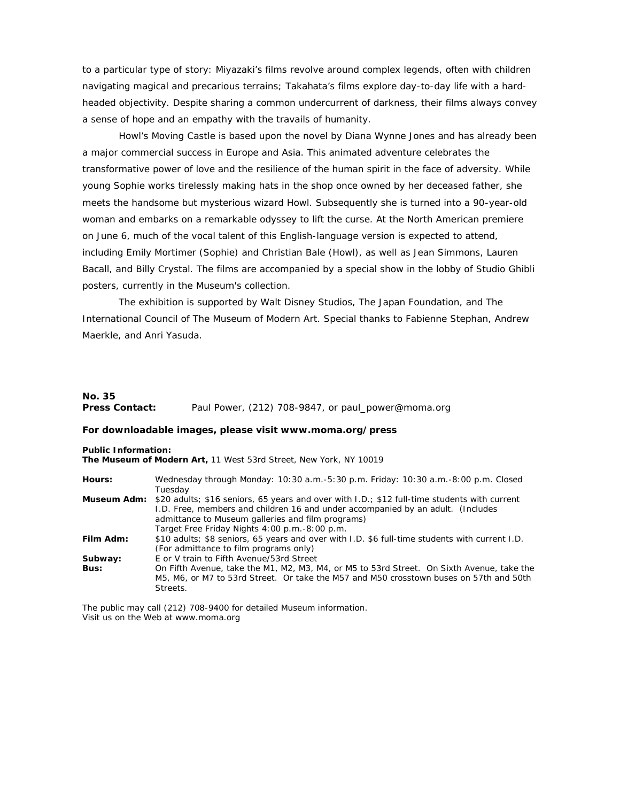to a particular type of story: Miyazaki's films revolve around complex legends, often with children navigating magical and precarious terrains; Takahata's films explore day-to-day life with a hardheaded objectivity. Despite sharing a common undercurrent of darkness, their films always convey a sense of hope and an empathy with the travails of humanity.

*Howl's Moving Castle* is based upon the novel by Diana Wynne Jones and has already been a major commercial success in Europe and Asia. This animated adventure celebrates the transformative power of love and the resilience of the human spirit in the face of adversity. While young Sophie works tirelessly making hats in the shop once owned by her deceased father, she meets the handsome but mysterious wizard Howl. Subsequently she is turned into a 90-year-old woman and embarks on a remarkable odyssey to lift the curse. At the North American premiere on June 6, much of the vocal talent of this English-language version is expected to attend, including Emily Mortimer (Sophie) and Christian Bale (Howl), as well as Jean Simmons, Lauren Bacall, and Billy Crystal. The films are accompanied by a special show in the lobby of Studio Ghibli posters, currently in the Museum's collection.

The exhibition is supported by Walt Disney Studios, The Japan Foundation, and The International Council of The Museum of Modern Art. Special thanks to Fabienne Stephan, Andrew Maerkle, and Anri Yasuda.

## **No. 35 Press Contact:** Paul Power, (212) 708-9847, or paul\_power@moma.org

#### **For downloadable images, please visit www.moma.org/press**

**Public Information:**

**The Museum of Modern Art,** 11 West 53rd Street, New York, NY 10019

| Hours:    | Wednesday through Monday: 10:30 a.m.-5:30 p.m. Friday: 10:30 a.m.-8:00 p.m. Closed                       |
|-----------|----------------------------------------------------------------------------------------------------------|
|           | Tuesday                                                                                                  |
|           | Museum Adm: \$20 adults; \$16 seniors, 65 years and over with I.D.; \$12 full-time students with current |
|           | 1.D. Free, members and children 16 and under accompanied by an adult. (Includes                          |
|           | admittance to Museum galleries and film programs)                                                        |
|           | Target Free Friday Nights 4:00 p.m. -8:00 p.m.                                                           |
| Film Adm: | \$10 adults; \$8 seniors, 65 years and over with I.D. \$6 full-time students with current I.D.           |
|           | (For admittance to film programs only)                                                                   |
| Subway:   | E or V train to Fifth Avenue/53rd Street                                                                 |
| Bus:      | On Fifth Avenue, take the M1, M2, M3, M4, or M5 to 53rd Street. On Sixth Avenue, take the                |
|           | M5, M6, or M7 to 53rd Street. Or take the M57 and M50 crosstown buses on 57th and 50th                   |
|           | Streets.                                                                                                 |

The public may call (212) 708-9400 for detailed Museum information. Visit us on the Web at www.moma.org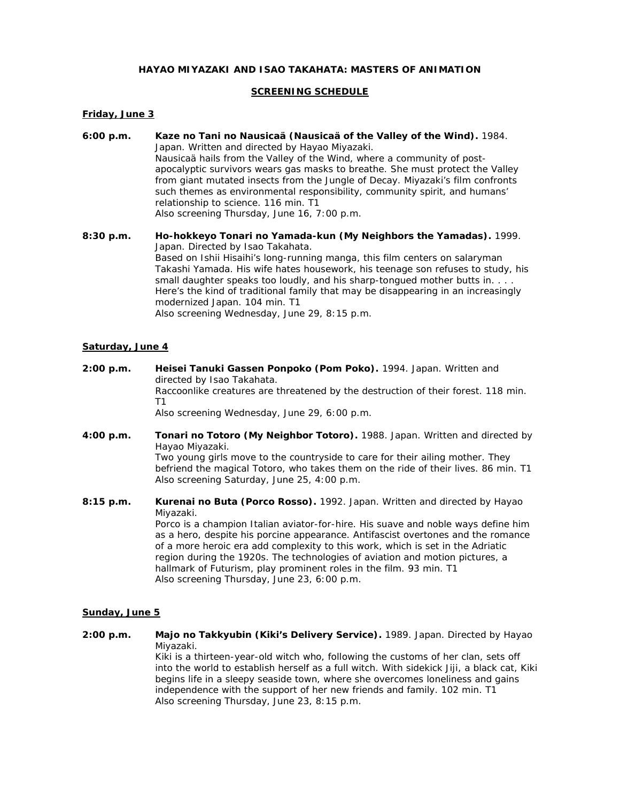## *HAYAO MIYAZAKI AND ISAO TAKAHATA: MASTERS OF ANIMATION*

## **SCREENING SCHEDULE**

## **Friday, June 3**

- **6:00 p.m.** *Kaze no Tani no Nausicaä (Nausicaä of the Valley of the Wind).* 1984. Japan. Written and directed by Hayao Miyazaki. Nausicaä hails from the Valley of the Wind, where a community of postapocalyptic survivors wears gas masks to breathe. She must protect the Valley from giant mutated insects from the Jungle of Decay. Miyazaki's film confronts such themes as environmental responsibility, community spirit, and humans' relationship to science. 116 min. T1 Also screening Thursday, June 16, 7:00 p.m.
- **8:30 p.m.** *Ho-hokkeyo Tonari no Yamada-kun (My Neighbors the Yamadas).* 1999. Japan. Directed by Isao Takahata. Based on Ishii Hisaihi's long-running *manga*, this film centers on salaryman Takashi Yamada. His wife hates housework, his teenage son refuses to study, his small daughter speaks too loudly, and his sharp-tongued mother butts in. . . . Here's the kind of traditional family that may be disappearing in an increasingly modernized Japan. 104 min. T1 Also screening Wednesday, June 29, 8:15 p.m.

### **Saturday, June 4**

- **2:00 p.m.** *Heisei Tanuki Gassen Ponpoko (Pom Poko).* 1994. Japan. Written and directed by Isao Takahata. Raccoonlike creatures are threatened by the destruction of their forest. 118 min. T1 Also screening Wednesday, June 29, 6:00 p.m.
- **4:00 p.m.** *Tonari no Totoro (My Neighbor Totoro).* 1988. Japan. Written and directed by Hayao Miyazaki. Two young girls move to the countryside to care for their ailing mother. They befriend the magical Totoro, who takes them on the ride of their lives. 86 min. T1 Also screening Saturday, June 25, 4:00 p.m.
- **8:15 p.m.** *Kurenai no Buta (Porco Rosso).* 1992. Japan. Written and directed by Hayao Miyazaki. Porco is a champion Italian aviator-for-hire. His suave and noble ways define him as a hero, despite his porcine appearance. Antifascist overtones and the romance of a more heroic era add complexity to this work, which is set in the Adriatic region during the 1920s. The technologies of aviation and motion pictures, a hallmark of Futurism, play prominent roles in the film. 93 min. T1 Also screening Thursday, June 23, 6:00 p.m.

### **Sunday, June 5**

**2:00 p.m.** *Majo no Takkyubin (Kiki's Delivery Service).* 1989. Japan. Directed by Hayao Miyazaki. Kiki is a thirteen-year-old witch who, following the customs of her clan, sets off into the world to establish herself as a full witch. With sidekick Jiji, a black cat, Kiki begins life in a sleepy seaside town, where she overcomes loneliness and gains independence with the support of her new friends and family. 102 min. T1 Also screening Thursday, June 23, 8:15 p.m.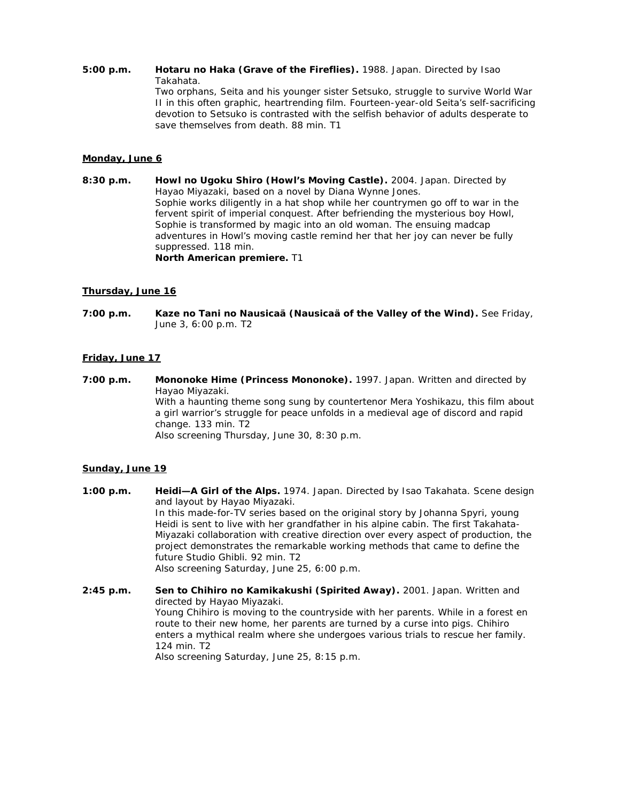**5:00 p.m.** *Hotaru no Haka (Grave of the Fireflies).* 1988. Japan. Directed by Isao Takahata. Two orphans, Seita and his younger sister Setsuko, struggle to survive World War II in this often graphic, heartrending film. Fourteen-year-old Seita's self-sacrificing devotion to Setsuko is contrasted with the selfish behavior of adults desperate to save themselves from death. 88 min. T1

## **Monday, June 6**

**8:30 p.m.** *Howl no Ugoku Shiro (Howl's Moving Castle).* 2004. Japan. Directed by Hayao Miyazaki, based on a novel by Diana Wynne Jones. Sophie works diligently in a hat shop while her countrymen go off to war in the fervent spirit of imperial conquest. After befriending the mysterious boy Howl, Sophie is transformed by magic into an old woman. The ensuing madcap adventures in Howl's moving castle remind her that her joy can never be fully suppressed. 118 min. **North American premiere.** T1

## **Thursday, June 16**

**7:00 p.m.** *Kaze no Tani no Nausicaä (Nausicaä of the Valley of the Wind).* See Friday, June 3, 6:00 p.m. T2

## **Friday, June 17**

**7:00 p.m.** *Mononoke Hime (Princess Mononoke).* 1997. Japan. Written and directed by Hayao Miyazaki. With a haunting theme song sung by countertenor Mera Yoshikazu, this film about a girl warrior's struggle for peace unfolds in a medieval age of discord and rapid change. 133 min. T2 Also screening Thursday, June 30, 8:30 p.m.

## **Sunday, June 19**

- **1:00 p.m.** *Heidi—A Girl of the Alps.* 1974. Japan. Directed by Isao Takahata. Scene design and layout by Hayao Miyazaki. In this made-for-TV series based on the original story by Johanna Spyri, young Heidi is sent to live with her grandfather in his alpine cabin. The first Takahata-Miyazaki collaboration with creative direction over every aspect of production, the project demonstrates the remarkable working methods that came to define the future Studio Ghibli. 92 min. T2 Also screening Saturday, June 25, 6:00 p.m.
- **2:45 p.m.** *Sen to Chihiro no Kamikakushi (Spirited Away).* 2001. Japan. Written and directed by Hayao Miyazaki. Young Chihiro is moving to the countryside with her parents. While in a forest en route to their new home, her parents are turned by a curse into pigs. Chihiro enters a mythical realm where she undergoes various trials to rescue her family. 124 min. T2 Also screening Saturday, June 25, 8:15 p.m.